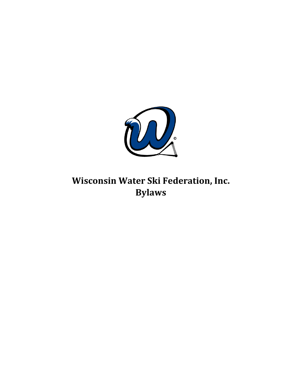

**Wisconsin Water Ski Federation, Inc. Bylaws**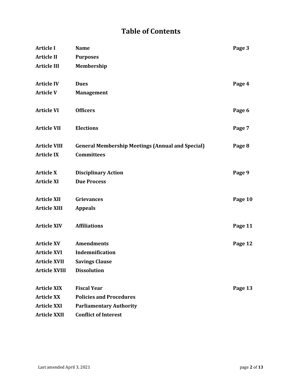# **Table of Contents**

| <b>Article I</b>     | <b>Name</b>                                             | Page 3  |
|----------------------|---------------------------------------------------------|---------|
| <b>Article II</b>    | <b>Purposes</b>                                         |         |
| <b>Article III</b>   | Membership                                              |         |
| <b>Article IV</b>    | <b>Dues</b>                                             | Page 4  |
| <b>Article V</b>     | <b>Management</b>                                       |         |
| <b>Article VI</b>    | <b>Officers</b>                                         | Page 6  |
| <b>Article VII</b>   | <b>Elections</b>                                        | Page 7  |
| <b>Article VIII</b>  | <b>General Membership Meetings (Annual and Special)</b> | Page 8  |
| <b>Article IX</b>    | <b>Committees</b>                                       |         |
| <b>Article X</b>     | <b>Disciplinary Action</b>                              | Page 9  |
| <b>Article XI</b>    | <b>Due Process</b>                                      |         |
| <b>Article XII</b>   | <b>Grievances</b>                                       | Page 10 |
| <b>Article XIII</b>  | <b>Appeals</b>                                          |         |
| <b>Article XIV</b>   | <b>Affiliations</b>                                     | Page 11 |
| <b>Article XV</b>    | <b>Amendments</b>                                       | Page 12 |
| <b>Article XVI</b>   | Indemnification                                         |         |
| <b>Article XVII</b>  | <b>Savings Clause</b>                                   |         |
| <b>Article XVIII</b> | <b>Dissolution</b>                                      |         |
| <b>Article XIX</b>   | <b>Fiscal Year</b>                                      | Page 13 |
| <b>Article XX</b>    | <b>Policies and Procedures</b>                          |         |
| <b>Article XXI</b>   | <b>Parliamentary Authority</b>                          |         |
| <b>Article XXII</b>  | <b>Conflict of Interest</b>                             |         |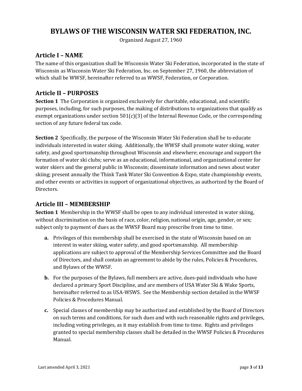## BYLAWS OF THE WISCONSIN WATER SKI FEDERATION, INC.

Organized August 27, 1960

#### **Article I – NAME**

The name of this organization shall be Wisconsin Water Ski Federation, incorporated in the state of Wisconsin as Wisconsin Water Ski Federation, Inc. on September 27, 1960, the abbreviation of which shall be WWSF, hereinafter referred to as WWSF, Federation, or Corporation.

#### **Article II – PURPOSES**

**Section 1** The Corporation is organized exclusively for charitable, educational, and scientific purposes, including, for such purposes, the making of distributions to organizations that qualify as exempt organizations under section  $501(c)(3)$  of the Internal Revenue Code, or the corresponding section of any future federal tax code.

**Section 2** Specifically, the purpose of the Wisconsin Water Ski Federation shall be to educate individuals interested in water skiing. Additionally, the WWSF shall promote water skiing, water safety, and good sportsmanship throughout Wisconsin and elsewhere; encourage and support the formation of water ski clubs; serve as an educational, informational, and organizational center for water skiers and the general public in Wisconsin; disseminate information and news about water skiing; present annually the Think Tank Water Ski Convention & Expo, state championship events, and other events or activities in support of organizational objectives, as authorized by the Board of Directors.

#### **Article III – MEMBERSHIP**

**Section 1** Membership in the WWSF shall be open to any individual interested in water skiing, without discrimination on the basis of race, color, religion, national origin, age, gender, or sex; subject only to payment of dues as the WWSF Board may prescribe from time to time.

- **a.** Privileges of this membership shall be exercised in the state of Wisconsin based on an interest in water skiing, water safety, and good sportsmanship. All membership applications are subject to approval of the Membership Services Committee and the Board of Directors, and shall contain an agreement to abide by the rules, Policies & Procedures, and Bylaws of the WWSF.
- **b.** For the purposes of the Bylaws, full members are active, dues-paid individuals who have declared a primary Sport Discipline, and are members of USA Water Ski & Wake Sports, hereinafter referred to as USA-WSWS. See the Membership section detailed in the WWSF Policies & Procedures Manual.
- **c.** Special classes of membership may be authorized and established by the Board of Directors on such terms and conditions, for such dues and with such reasonable rights and privileges, including voting privileges, as it may establish from time to time. Rights and privileges granted to special membership classes shall be detailed in the WWSF Policies & Procedures Manual.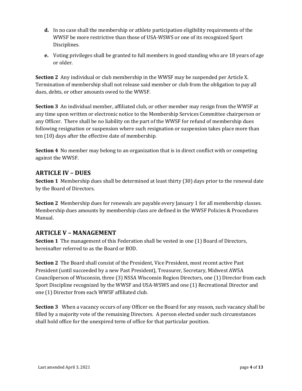- **d.** In no case shall the membership or athlete participation eligibility requirements of the WWSF be more restrictive than those of USA-WSWS or one of its recognized Sport Disciplines.
- **e.** Voting privileges shall be granted to full members in good standing who are 18 years of age or older.

**Section 2** Any individual or club membership in the WWSF may be suspended per Article X. Termination of membership shall not release said member or club from the obligation to pay all dues, debts, or other amounts owed to the WWSF.

**Section 3** An individual member, affiliated club, or other member may resign from the WWSF at any time upon written or electronic notice to the Membership Services Committee chairperson or any Officer. There shall be no liability on the part of the WWSF for refund of membership dues following resignation or suspension where such resignation or suspension takes place more than ten (10) days after the effective date of membership.

**Section 4** No member may belong to an organization that is in direct conflict with or competing against the WWSF.

#### **ARTICLE IV – DUES**

**Section 1** Membership dues shall be determined at least thirty (30) days prior to the renewal date by the Board of Directors.

**Section 2** Membership dues for renewals are payable every January 1 for all membership classes. Membership dues amounts by membership class are defined in the WWSF Policies & Procedures Manual.

## **ARTICLE V - MANAGEMENT**

**Section 1** The management of this Federation shall be vested in one (1) Board of Directors, hereinafter referred to as the Board or BOD.

**Section 2** The Board shall consist of the President, Vice President, most recent active Past President (until succeeded by a new Past President), Treasurer, Secretary, Midwest AWSA Councilperson of Wisconsin, three (3) NSSA Wisconsin Region Directors, one (1) Director from each Sport Discipline recognized by the WWSF and USA-WSWS and one (1) Recreational Director and one (1) Director from each WWSF affiliated club.

**Section 3** When a vacancy occurs of any Officer on the Board for any reason, such vacancy shall be filled by a majority vote of the remaining Directors. A person elected under such circumstances shall hold office for the unexpired term of office for that particular position.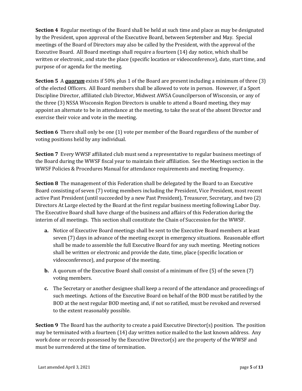**Section 4** Regular meetings of the Board shall be held at such time and place as may be designated by the President, upon approval of the Executive Board, between September and May. Special meetings of the Board of Directors may also be called by the President, with the approval of the Executive Board. All Board meetings shall require a fourteen (14) day notice, which shall be written or electronic, and state the place (specific location or videoconference), date, start time, and purpose of or agenda for the meeting.

**Section 5** A *quorum* exists if 50% plus 1 of the Board are present including a minimum of three (3) of the elected Officers. All Board members shall be allowed to vote in person. However, if a Sport Discipline Director, affiliated club Director, Midwest AWSA Councilperson of Wisconsin, or any of the three (3) NSSA Wisconsin Region Directors is unable to attend a Board meeting, they may appoint an alternate to be in attendance at the meeting, to take the seat of the absent Director and exercise their voice and vote in the meeting.

**Section 6** There shall only be one (1) vote per member of the Board regardless of the number of voting positions held by any individual.

**Section 7** Every WWSF affiliated club must send a representative to regular business meetings of the Board during the WWSF fiscal year to maintain their affiliation. See the Meetings section in the WWSF Policies & Procedures Manual for attendance requirements and meeting frequency.

**Section 8** The management of this Federation shall be delegated by the Board to an Executive Board consisting of seven (7) voting members including the President, Vice President, most recent active Past President (until succeeded by a new Past President), Treasurer, Secretary, and two (2) Directors At Large elected by the Board at the first regular business meeting following Labor Day. The Executive Board shall have charge of the business and affairs of this Federation during the interim of all meetings. This section shall constitute the Chain of Succession for the WWSF.

- **a.** Notice of Executive Board meetings shall be sent to the Executive Board members at least seven (7) days in advance of the meeting except in emergency situations. Reasonable effort shall be made to assemble the full Executive Board for any such meeting. Meeting notices shall be written or electronic and provide the date, time, place (specific location or videoconference), and purpose of the meeting.
- **b.** A quorum of the Executive Board shall consist of a minimum of five (5) of the seven (7) voting members.
- **c.** The Secretary or another designee shall keep a record of the attendance and proceedings of such meetings. Actions of the Executive Board on behalf of the BOD must be ratified by the BOD at the next regular BOD meeting and, if not so ratified, must be revoked and reversed to the extent reasonably possible.

**Section 9** The Board has the authority to create a paid Executive Director(s) position. The position may be terminated with a fourteen (14) day written notice mailed to the last known address. Any work done or records possessed by the Executive Director(s) are the property of the WWSF and must be surrendered at the time of termination.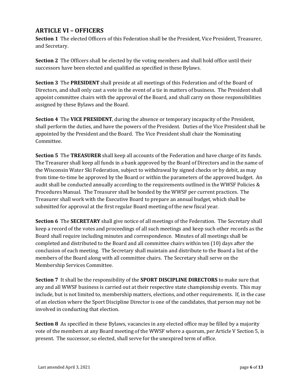## **ARTICLE VI – OFFICERS**

**Section 1** The elected Officers of this Federation shall be the President, Vice President, Treasurer, and Secretary.

**Section 2** The Officers shall be elected by the voting members and shall hold office until their successors have been elected and qualified as specified in these Bylaws.

**Section 3** The **PRESIDENT** shall preside at all meetings of this Federation and of the Board of Directors, and shall only cast a vote in the event of a tie in matters of business. The President shall appoint committee chairs with the approval of the Board, and shall carry on those responsibilities assigned by these Bylaws and the Board.

**Section 4** The **VICE PRESIDENT**, during the absence or temporary incapacity of the President, shall perform the duties, and have the powers of the President. Duties of the Vice President shall be appointed by the President and the Board. The Vice President shall chair the Nominating Committee.

**Section 5** The **TREASURER** shall keep all accounts of the Federation and have charge of its funds. The Treasurer shall keep all funds in a bank approved by the Board of Directors and in the name of the Wisconsin Water Ski Federation, subject to withdrawal by signed checks or by debit, as may from time-to-time be approved by the Board or within the parameters of the approved budget. An audit shall be conducted annually according to the requirements outlined in the WWSF Policies  $\&$ Procedures Manual. The Treasurer shall be bonded by the WWSF per current practices. The Treasurer shall work with the Executive Board to prepare an annual budget, which shall be submitted for approval at the first regular Board meeting of the new fiscal year.

**Section 6** The **SECRETARY** shall give notice of all meetings of the Federation. The Secretary shall keep a record of the votes and proceedings of all such meetings and keep such other records as the Board shall require including minutes and correspondence. Minutes of all meetings shall be completed and distributed to the Board and all committee chairs within ten (10) days after the conclusion of each meeting. The Secretary shall maintain and distribute to the Board a list of the members of the Board along with all committee chairs. The Secretary shall serve on the Membership Services Committee.

**Section 7** It shall be the responsibility of the **SPORT DISCIPLINE DIRECTORS** to make sure that any and all WWSF business is carried out at their respective state championship events. This may include, but is not limited to, membership matters, elections, and other requirements. If, in the case of an election where the Sport Discipline Director is one of the candidates, that person may not be involved in conducting that election.

**Section 8** As specified in these Bylaws, vacancies in any elected office may be filled by a majority vote of the members at any Board meeting of the WWSF where a quorum, per Article V Section 5, is present. The successor, so elected, shall serve for the unexpired term of office.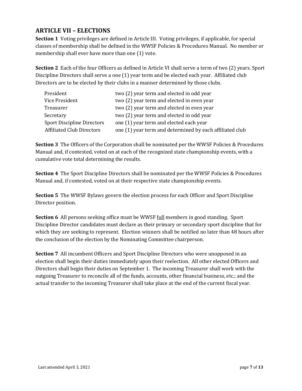## **ARTICLE VII – ELECTIONS**

**Section 1** Voting privileges are defined in Article III. Voting privileges, if applicable, for special classes of membership shall be defined in the WWSF Policies & Procedures Manual. No member or membership shall ever have more than one (1) vote.

**Section 2** Each of the four Officers as defined in Article VI shall serve a term of two (2) years. Sport Discipline Directors shall serve a one (1) year term and be elected each year. Affiliated club Directors are to be elected by their clubs in a manner determined by those clubs.

| President                         | two (2) year term and elected in odd year                |
|-----------------------------------|----------------------------------------------------------|
| Vice President                    | two (2) year term and elected in even year               |
| Treasurer                         | two (2) year term and elected in even year               |
| Secretary                         | two (2) year term and elected in odd year                |
| <b>Sport Discipline Directors</b> | one (1) year term and elected each year                  |
| <b>Affiliated Club Directors</b>  | one (1) year term and determined by each affiliated club |

**Section 3** The Officers of the Corporation shall be nominated per the WWSF Policies & Procedures Manual and, if contested, voted on at each of the recognized state championship events, with a cumulative vote total determining the results.

**Section 4** The Sport Discipline Directors shall be nominated per the WWSF Policies & Procedures Manual and, if contested, voted on at their respective state championship events.

**Section 5** The WWSF Bylaws govern the election process for each Officer and Sport Discipline Director position.

**Section 6** All persons seeking office must be WWSF <u>full</u> members in good standing. Sport Discipline Director candidates must declare as their primary or secondary sport discipline that for which they are seeking to represent. Election winners shall be notified no later than 48 hours after the conclusion of the election by the Nominating Committee chairperson.

**Section 7** All incumbent Officers and Sport Discipline Directors who were unopposed in an election shall begin their duties immediately upon their reelection. All other elected Officers and Directors shall begin their duties on September 1. The incoming Treasurer shall work with the outgoing Treasurer to reconcile all of the funds, accounts, other financial business, etc.; and the actual transfer to the incoming Treasurer shall take place at the end of the current fiscal year.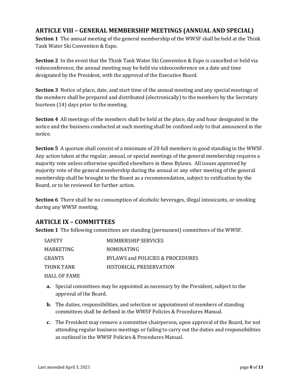#### **ARTICLE VIII – GENERAL MEMBERSHIP MEETINGS (ANNUAL AND SPECIAL)**

**Section 1** The annual meeting of the general membership of the WWSF shall be held at the Think Tank Water Ski Convention & Expo.

**Section 2** In the event that the Think Tank Water Ski Convention & Expo is cancelled or held via videoconference, the annual meeting may be held via videoconference on a date and time designated by the President, with the approval of the Executive Board.

**Section 3** Notice of place, date, and start time of the annual meeting and any special meetings of the members shall be prepared and distributed (electronically) to the members by the Secretary fourteen  $(14)$  days prior to the meeting.

**Section 4** All meetings of the members shall be held at the place, day and hour designated in the notice and the business conducted at such meeting shall be confined only to that announced in the notice.

**Section 5** A quorum shall consist of a minimum of 20 full members in good standing in the WWSF. Any action taken at the regular, annual, or special meetings of the general membership requires a majority vote unless otherwise specified elsewhere in these Bylaws. All issues approved by majority vote of the general membership during the annual or any other meeting of the general membership shall be brought to the Board as a recommendation, subject to ratification by the Board, or to be reviewed for further action.

**Section 6** There shall be no consumption of alcoholic beverages, illegal intoxicants, or smoking during any WWSF meeting.

#### **ARTICLE IX – COMMITTEES**

**Section 1** The following committees are standing (permanent) committees of the WWSF.

| <b>SAFETY</b> | <b>MEMBERSHIP SERVICES</b>       |
|---------------|----------------------------------|
| MARKETING     | <b>NOMINATING</b>                |
| <b>GRANTS</b> | BYLAWS and POLICIES & PROCEDURES |
| THINK TANK    | HISTORICAL PRESERVATION          |
| HALL OF FAME  |                                  |

- **a.** Special committees may be appointed as necessary by the President, subject to the approval of the Board.
- **b.** The duties, responsibilities, and selection or appointment of members of standing committees shall be defined in the WWSF Policies & Procedures Manual.
- **c.** The President may remove a committee chairperson, upon approval of the Board, for not attending regular business meetings or failing to carry out the duties and responsibilities as outlined in the WWSF Policies & Procedures Manual.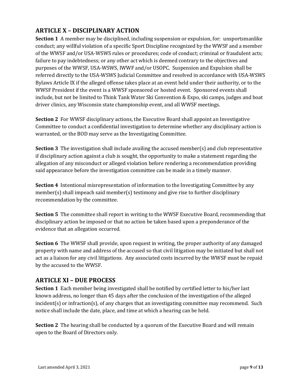## **ARTICLE X – DISCIPLINARY ACTION**

**Section 1** A member may be disciplined, including suspension or expulsion, for: unsportsmanlike conduct; any willful violation of a specific Sport Discipline recognized by the WWSF and a member of the WWSF and/or USA-WSWS rules or procedures; code of conduct; criminal or fraudulent acts; failure to pay indebtedness; or any other act which is deemed contrary to the objectives and purposes of the WWSF, USA-WSWS, IWWF and/or USOPC. Suspension and Expulsion shall be referred directly to the USA-WSWS Judicial Committee and resolved in accordance with USA-WSWS Bylaws Article IX if the alleged offense takes place at an event held under their authority, or to the WWSF President if the event is a WWSF sponsored or hosted event. Sponsored events shall include, but not be limited to Think Tank Water Ski Convention & Expo, ski camps, judges and boat driver clinics, any Wisconsin state championship event, and all WWSF meetings.

**Section 2** For WWSF disciplinary actions, the Executive Board shall appoint an Investigative Committee to conduct a confidential investigation to determine whether any disciplinary action is warranted, or the BOD may serve as the Investigating Committee.

**Section 3** The investigation shall include availing the accused member(s) and club representative if disciplinary action against a club is sought, the opportunity to make a statement regarding the allegation of any misconduct or alleged violation before rendering a recommendation providing said appearance before the investigation committee can be made in a timely manner.

**Section 4** Intentional misrepresentation of information to the Investigating Committee by any  $member(s)$  shall impeach said member(s) testimony and give rise to further disciplinary recommendation by the committee.

**Section 5** The committee shall report in writing to the WWSF Executive Board, recommending that disciplinary action be imposed or that no action be taken based upon a preponderance of the evidence that an allegation occurred.

**Section 6** The WWSF shall provide, upon request in writing, the proper authority of any damaged property with name and address of the accused so that civil litigation may be initiated but shall not act as a liaison for any civil litigations. Any associated costs incurred by the WWSF must be repaid by the accused to the WWSF.

#### **ARTICLE XI – DUE PROCESS**

**Section 1** Each member being investigated shall be notified by certified letter to his/her last known address, no longer than 45 days after the conclusion of the investigation of the alleged incident(s) or infraction(s), of any charges that an investigating committee may recommend. Such notice shall include the date, place, and time at which a hearing can be held.

**Section 2** The hearing shall be conducted by a quorum of the Executive Board and will remain open to the Board of Directors only.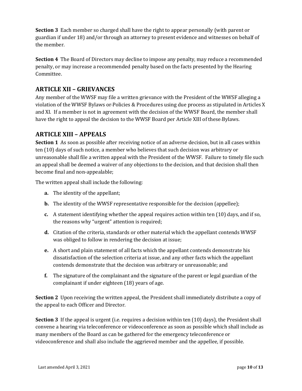**Section 3** Each member so charged shall have the right to appear personally (with parent or guardian if under 18) and/or through an attorney to present evidence and witnesses on behalf of the memher

**Section 4** The Board of Directors may decline to impose any penalty, may reduce a recommended penalty, or may increase a recommended penalty based on the facts presented by the Hearing Committee.

## **ARTICLE XII – GRIEVANCES**

Any member of the WWSF may file a written grievance with the President of the WWSF alleging a violation of the WWSF Bylaws or-Policies & Procedures using due process as stipulated in Articles X and XI. If a member is not in agreement with the decision of the WWSF Board, the member shall have the right to appeal the decision to the WWSF Board per Article XIII of these-Bylaws.

#### **ARTICLE XIII – APPEALS**

**Section 1** As soon as possible after receiving notice of an adverse decision, but in all cases within ten (10) days of such notice, a member who believes that such decision was arbitrary or unreasonable shall file a written appeal with the President of the WWSF. Failure to timely file such an appeal shall be deemed a waiver of any objections to the decision, and that decision shall then become final and non-appealable;

The written appeal shall include the following:

- **a.** The identity of the appellant;
- **b.** The identity of the WWSF representative responsible for the decision (appellee);
- **c.** A statement identifying whether the appeal requires action within ten (10) days, and if so, the reasons why "urgent" attention is required;
- **d.** Citation of the criteria, standards or other material which the appellant contends WWSF was obliged to follow in rendering the decision at issue;
- **e.** A short and plain statement of all facts which the appellant contends demonstrate his dissatisfaction of the selection criteria at issue, and any other facts which the appellant contends demonstrate that the decision was arbitrary or unreasonable; and
- **f.** The signature of the complainant and the signature of the parent or legal guardian of the complainant if under eighteen (18) years of age.

**Section 2** Upon receiving the written appeal, the President shall immediately distribute a copy of the appeal to each Officer and Director.

**Section 3** If the appeal is urgent (i.e. requires a decision within ten (10) days), the President shall convene a hearing via teleconference or videoconference as soon as possible which shall include as many members of the Board as can be gathered for the emergency teleconference or videoconference and shall also include the aggrieved member and the appellee, if possible.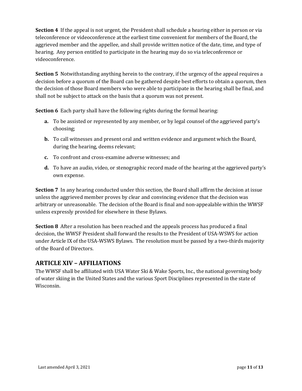**Section 4** If the appeal is not urgent, the President shall schedule a hearing either in person or via teleconference or videoconference at the earliest time convenient for members of the Board, the aggrieved member and the appellee, and shall provide written notice of the date, time, and type of hearing. Any person entitled to participate in the hearing may do so via teleconference or videoconference.

**Section 5** Notwithstanding anything herein to the contrary, if the urgency of the appeal requires a decision before a quorum of the Board can be gathered despite best efforts to obtain a quorum, then the decision of those Board members who were able to participate in the hearing shall be final, and shall not be subject to attack on the basis that a quorum was not present.

**Section 6** Each party shall have the following rights during the formal hearing:

- **a.** To be assisted or represented by any member, or by legal counsel of the aggrieved party's choosing;
- **b.** To call witnesses and present oral and written evidence and argument which the Board, during the hearing, deems relevant;
- **c.** To confront and cross-examine adverse witnesses; and
- **d.** To have an audio, video, or stenographic record made of the hearing at the aggrieved party's own expense.

**Section** 7 In any hearing conducted under this section, the Board shall affirm the decision at issue unless the aggrieved member proves by clear and convincing evidence that the decision was arbitrary or unreasonable. The decision of the Board is final and non-appealable within the WWSF unless expressly provided for elsewhere in these Bylaws.

**Section 8** After a resolution has been reached and the appeals process has produced a final decision, the WWSF President shall forward the results to the President of USA-WSWS for action under Article IX of the USA-WSWS Bylaws. The resolution must be passed by a two-thirds majority of the Board of Directors.

#### **ARTICLE XIV – AFFILIATIONS**

The WWSF shall be affiliated with USA Water Ski & Wake Sports, Inc., the national governing body of water skiing in the United States and the various Sport Disciplines represented in the state of Wisconsin.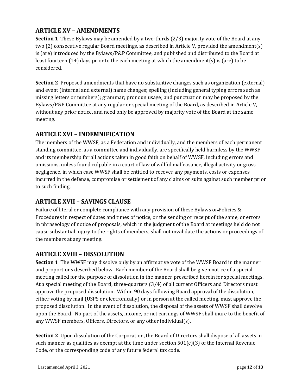## **ARTICLE XV – AMENDMENTS**

**Section 1** These Bylaws may be amended by a two-thirds (2/3) majority vote of the Board at any two (2) consecutive regular Board meetings, as described in Article V, provided the amendment(s) is (are) introduced by the Bylaws/P&P Committee, and published and distributed to the Board at least fourteen  $(14)$  days prior to the each meeting at which the amendment $(s)$  is (are) to be considered.

**Section 2** Proposed amendments that have no substantive changes such as organization (external) and event (internal and external) name changes; spelling (including general typing errors such as missing letters or numbers); grammar; pronoun usage; and punctuation may be proposed by the Bylaws/P&P Committee at any regular or special meeting of the Board, as described in Article V, without any prior notice, and need only be approved by majority vote of the Board at the same meeting.

## **ARTICLE XVI – INDEMNIFICATION**

The members of the WWSF, as a Federation and individually, and the members of each permanent standing committee, as a committee and individually, are specifically held harmless by the WWSF and its membership for all actions taken in good faith on behalf of WWSF, including errors and omissions, unless found culpable in a court of law of willful malfeasance, illegal activity or gross negligence, in which case WWSF shall be entitled to recover any payments, costs or expenses incurred in the defense, compromise or settlement of any claims or suits against such member prior to such finding.

## **ARTICLE XVII – SAVINGS CLAUSE**

Failure of literal or complete compliance with any provision of these Bylaws or-Policies & Procedures in respect of dates and times of notice, or the sending or receipt of the same, or errors in phraseology of notice of proposals, which in the judgment of the Board at meetings held do not cause substantial injury to the rights of members, shall not invalidate the actions or proceedings of the members at any meeting.

#### **ARTICLE XVIII – DISSOLUTION**

**Section 1** The WWSF may dissolve only by an affirmative vote of the WWSF Board in the manner and proportions described below. Each member of the Board shall be given notice of a special meeting called for the purpose of dissolution in the manner prescribed herein for special meetings. At a special meeting of the Board, three-quarters  $(3/4)$  of all current Officers and Directors must approve the proposed dissolution. Within 90 days following Board approval of the dissolution, either voting by mail (USPS or electronically) or in person at the called meeting, must approve the proposed dissolution. In the event of dissolution, the disposal of the assets of WWSF shall devolve upon the Board. No part of the assets, income, or net earnings of WWSF shall inure to the benefit of any WWSF members, Officers, Directors, or any other individual(s).

**Section 2** Upon dissolution of the Corporation, the Board of Directors shall dispose of all assets in such manner as qualifies as exempt at the time under section  $501(c)(3)$  of the Internal Revenue Code, or the corresponding code of any future federal tax code.